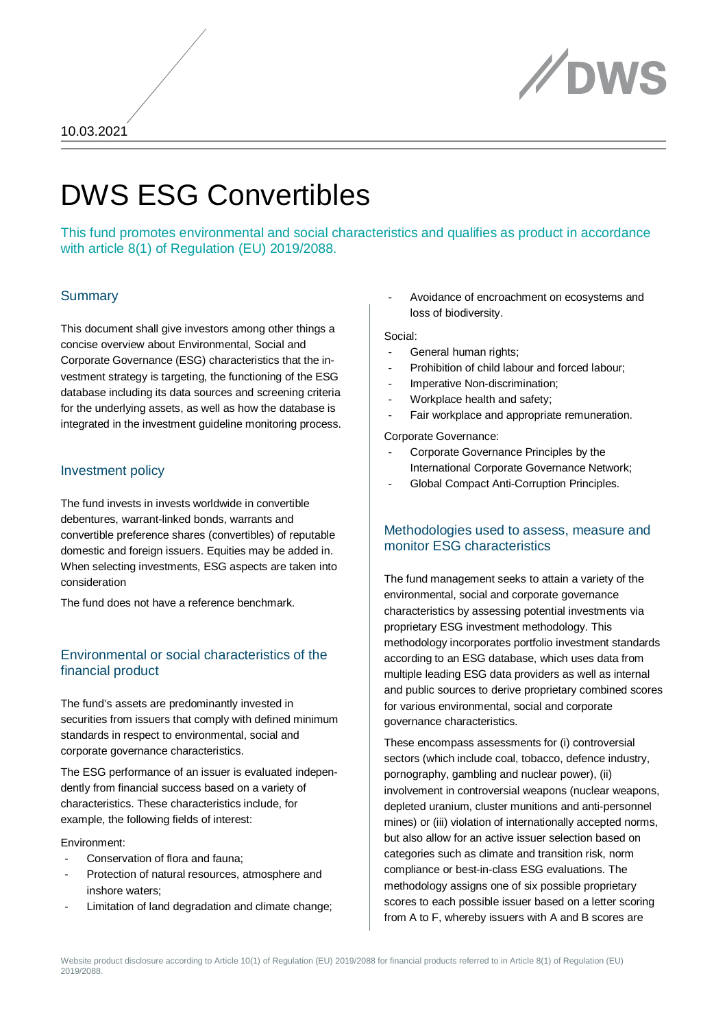

# DWS ESG Convertibles

This fund promotes environmental and social characteristics and qualifies as product in accordance with article 8(1) of Regulation (EU) 2019/2088.

#### **Summary**

This document shall give investors among other things a concise overview about Environmental, Social and Corporate Governance (ESG) characteristics that the investment strategy is targeting, the functioning of the ESG database including its data sources and screening criteria for the underlying assets, as well as how the database is integrated in the investment guideline monitoring process.

#### Investment policy

The fund invests in invests worldwide in convertible debentures, warrant-linked bonds, warrants and convertible preference shares (convertibles) of reputable domestic and foreign issuers. Equities may be added in. When selecting investments, ESG aspects are taken into consideration

The fund does not have a reference benchmark.

#### Environmental or social characteristics of the financial product

The fund's assets are predominantly invested in securities from issuers that comply with defined minimum standards in respect to environmental, social and corporate governance characteristics.

The ESG performance of an issuer is evaluated independently from financial success based on a variety of characteristics. These characteristics include, for example, the following fields of interest:

#### Environment:

- Conservation of flora and fauna:
- Protection of natural resources, atmosphere and inshore waters;
- Limitation of land degradation and climate change:

- Avoidance of encroachment on ecosystems and loss of biodiversity.

#### Social:

- General human rights;
- Prohibition of child labour and forced labour;
- Imperative Non-discrimination;
- Workplace health and safety;
- Fair workplace and appropriate remuneration.

Corporate Governance:

- Corporate Governance Principles by the International Corporate Governance Network;
- Global Compact Anti-Corruption Principles.

## Methodologies used to assess, measure and monitor ESG characteristics

The fund management seeks to attain a variety of the environmental, social and corporate governance characteristics by assessing potential investments via proprietary ESG investment methodology. This methodology incorporates portfolio investment standards according to an ESG database, which uses data from multiple leading ESG data providers as well as internal and public sources to derive proprietary combined scores for various environmental, social and corporate governance characteristics.

These encompass assessments for (i) controversial sectors (which include coal, tobacco, defence industry, pornography, gambling and nuclear power), (ii) involvement in controversial weapons (nuclear weapons, depleted uranium, cluster munitions and anti-personnel mines) or (iii) violation of internationally accepted norms, but also allow for an active issuer selection based on categories such as climate and transition risk, norm compliance or best-in-class ESG evaluations. The methodology assigns one of six possible proprietary scores to each possible issuer based on a letter scoring from A to F, whereby issuers with A and B scores are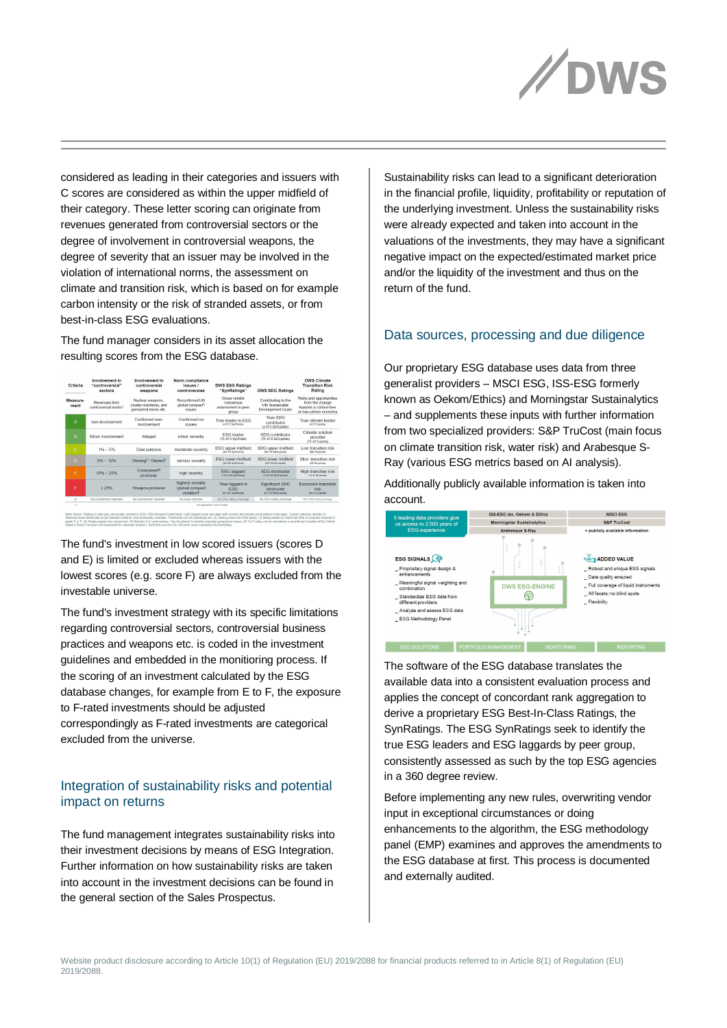

considered as leading in their categories and issuers with C scores are considered as within the upper midfield of their category. These letter scoring can originate from revenues generated from controversial sectors or the degree of involvement in controversial weapons, the degree of severity that an issuer may be involved in the violation of international norms, the assessment on climate and transition risk, which is based on for example carbon intensity or the risk of stranded assets, or from best-in-class ESG evaluations.

The fund manager considers in its asset allocation the resulting scores from the ESG database.

| Criteria         | Involvement in<br>"controversial"<br>sectors       | Involvement in<br>controversial<br>weapons                          | Norm compliance<br>issues /<br>controversies                   | <b>DWS ESG Ratings</b><br>"SynRatings"                   | <b>DWS SDG Ratings</b>                                                   | <b>DWS Climate</b><br><b>Transition Risk</b><br>Rating                                       |
|------------------|----------------------------------------------------|---------------------------------------------------------------------|----------------------------------------------------------------|----------------------------------------------------------|--------------------------------------------------------------------------|----------------------------------------------------------------------------------------------|
| Measure-<br>ment | Revenues from<br>controversial sector <sup>1</sup> | Nuclear weapons.<br>cluster munitions, anti<br>personnel mines etc. | Reconfirmed UN<br>global compact <sup>6</sup><br><b>ISSUES</b> | Cross vendor<br>consensus<br>assessment in peer<br>group | Contributing to the<br><b>UN Sustainable</b><br><b>Development Goals</b> | Risks and opportunities<br>from the change<br>towards a carbon-free<br>or low-carbon economy |
| А                | non-involvement                                    | Confirmed non-<br>involvement                                       | Confirmed no<br><b>issues</b>                                  | True leader in ESG<br>(2.07.5 SynPoints)                 | <b>True SDG</b><br>contributor<br>(a 87.5 SDG points)                    | True climate leader<br>(k 67.5 points)                                                       |
| B                | Minor involvement                                  | Alleged                                                             | minor severity                                                 | <b>ESG</b> leader<br>(75-87.5 SynPoints)                 | SDG contributor<br>(75-87.5 SDG points)                                  | Climate solution<br>provider<br>$(75-87.5 \text{ points})$                                   |
| $\mathbf C$      | $1\% - 5\%$                                        | Dual purpose                                                        | moderate severity                                              | ESG upper midfield<br>(50-75 SynPoints)                  | SDG upper midfield<br>(50-75 SDG points)                                 | Low transition risk<br>(50-75 points)                                                        |
| $\mathbf{D}$     | $5\% - 10\%$                                       | Owning <sup>2</sup> / Owned <sup>3</sup>                            | serious severity                                               | <b>FSG lower midfield</b><br>(25-50 SynPoints)           | SDG lower midfield<br>(25-50 SG points)                                  | Mod transition risk<br>(25-50 points)                                                        |
| F                | $10% - 25%$                                        | Component <sup>4</sup><br>producer                                  | high severity                                                  | <b>ESG laccard</b><br>(12.6-25 SynPoints)                | SDG obstructer<br>(12.5-25 SDG points)                                   | High transition risk<br>$(12.6 - 35 \text{ units})$                                          |
| F                | 2.25%                                              | Weapon producer                                                     | highest severity<br>/global compact<br>violation®              | True laggard in<br><b>FSG</b><br>$(D-12.5$ SynPoints)    | Significant SDG<br>obstructer<br>(0-12.5 SDG points)                     | Excessive transition<br><b>risk</b><br>$(0 - 12.5 \text{ points})$                           |
| $\mathbf{M}$     | No involvement reported                            | No involvement reported                                             | No issue reported                                              | No ESG rating coverage                                   | No SDG rating coverage                                                   | No CTRR rating coverage                                                                      |
| $\infty$         | not applicable / put of scope                      |                                                                     |                                                                |                                                          |                                                                          |                                                                                              |

The fund's investment in low scored issuers (scores D and E) is limited or excluded whereas issuers with the lowest scores (e.g. score F) are always excluded from the investable universe.

grade E or F. (4) Single purpose key component. (5) Includes ILO controversies. Can be tallored to inc

The fund's investment strategy with its specific limitations regarding controversial sectors, controversial business practices and weapons etc. is coded in the investment guidelines and embedded in the monitioring process. If the scoring of an investment calculated by the ESG database changes, for example from E to F, the exposure to F-rated investments should be adjusted correspondingly as F-rated investments are categorical excluded from the universe.

## Integration of sustainability risks and potential impact on returns

The fund management integrates sustainability risks into their investment decisions by means of ESG Integration. Further information on how sustainability risks are taken into account in the investment decisions can be found in the general section of the Sales Prospectus.

Sustainability risks can lead to a significant deterioration in the financial profile, liquidity, profitability or reputation of the underlying investment. Unless the sustainability risks were already expected and taken into account in the valuations of the investments, they may have a significant negative impact on the expected/estimated market price and/or the liquidity of the investment and thus on the return of the fund.

## Data sources, processing and due diligence

Our proprietary ESG database uses data from three generalist providers – MSCI ESG, ISS-ESG formerly known as Oekom/Ethics) and Morningstar Sustainalytics – and supplements these inputs with further information from two specialized providers: S&P TruCost (main focus on climate transition risk, water risk) and Arabesque S-Ray (various ESG metrics based on AI analysis).

Additionally publicly available information is taken into account.



The software of the ESG database translates the available data into a consistent evaluation process and applies the concept of concordant rank aggregation to derive a proprietary ESG Best-In-Class Ratings, the SynRatings. The ESG SynRatings seek to identify the true ESG leaders and ESG laggards by peer group, consistently assessed as such by the top ESG agencies in a 360 degree review.

Before implementing any new rules, overwriting vendor input in exceptional circumstances or doing enhancements to the algorithm, the ESG methodology panel (EMP) examines and approves the amendments to the ESG database at first. This process is documented and externally audited.